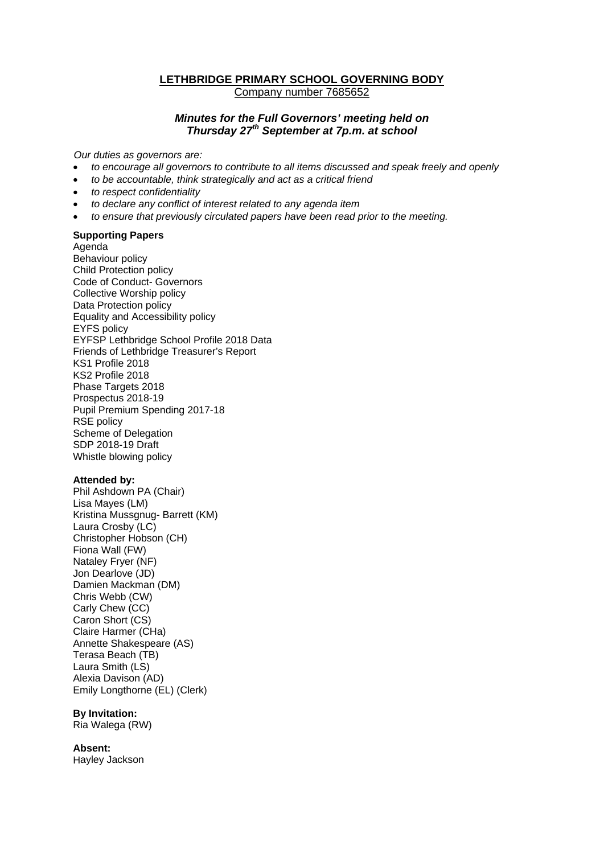# **LETHBRIDGE PRIMARY SCHOOL GOVERNING BODY** Company number 7685652

## *Minutes for the Full Governors' meeting held on Thursday 27th September at 7p.m. at school*

*Our duties as governors are:* 

- *to encourage all governors to contribute to all items discussed and speak freely and openly*
- *to be accountable, think strategically and act as a critical friend*
- *to respect confidentiality*
- *to declare any conflict of interest related to any agenda item*
- *to ensure that previously circulated papers have been read prior to the meeting.*

### **Supporting Papers**

Agenda Behaviour policy Child Protection policy Code of Conduct- Governors Collective Worship policy Data Protection policy Equality and Accessibility policy EYFS policy EYFSP Lethbridge School Profile 2018 Data Friends of Lethbridge Treasurer's Report KS1 Profile 2018 KS2 Profile 2018 Phase Targets 2018 Prospectus 2018-19 Pupil Premium Spending 2017-18 RSE policy Scheme of Delegation SDP 2018-19 Draft Whistle blowing policy

#### **Attended by:**

Phil Ashdown PA (Chair) Lisa Mayes (LM) Kristina Mussgnug- Barrett (KM) Laura Crosby (LC) Christopher Hobson (CH) Fiona Wall (FW) Nataley Fryer (NF) Jon Dearlove (JD) Damien Mackman (DM) Chris Webb (CW) Carly Chew (CC) Caron Short (CS) Claire Harmer (CHa) Annette Shakespeare (AS) Terasa Beach (TB) Laura Smith (LS) Alexia Davison (AD) Emily Longthorne (EL) (Clerk)

#### **By Invitation:**

Ria Walega (RW)

### **Absent:**

Hayley Jackson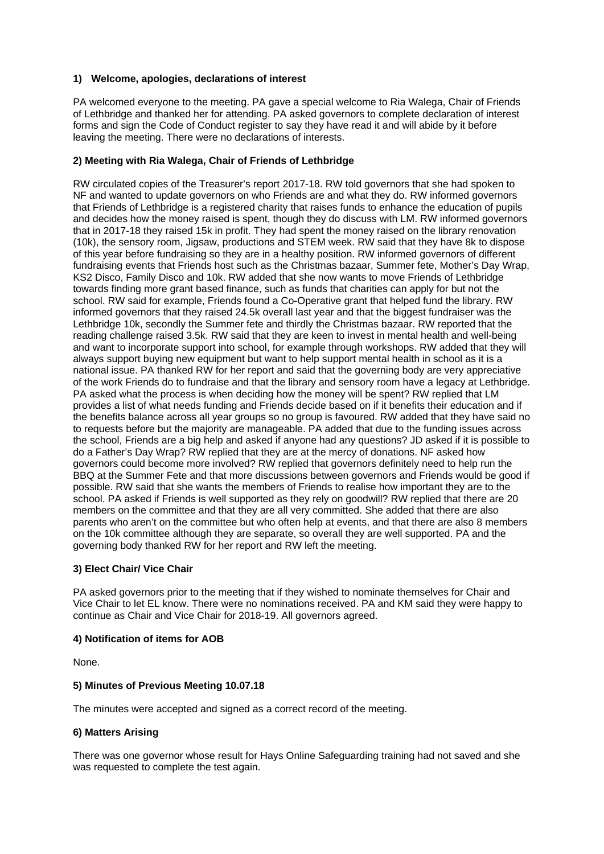## **1) Welcome, apologies, declarations of interest**

PA welcomed everyone to the meeting. PA gave a special welcome to Ria Walega, Chair of Friends of Lethbridge and thanked her for attending. PA asked governors to complete declaration of interest forms and sign the Code of Conduct register to say they have read it and will abide by it before leaving the meeting. There were no declarations of interests.

## **2) Meeting with Ria Walega, Chair of Friends of Lethbridge**

RW circulated copies of the Treasurer's report 2017-18. RW told governors that she had spoken to NF and wanted to update governors on who Friends are and what they do. RW informed governors that Friends of Lethbridge is a registered charity that raises funds to enhance the education of pupils and decides how the money raised is spent, though they do discuss with LM. RW informed governors that in 2017-18 they raised 15k in profit. They had spent the money raised on the library renovation (10k), the sensory room, Jigsaw, productions and STEM week. RW said that they have 8k to dispose of this year before fundraising so they are in a healthy position. RW informed governors of different fundraising events that Friends host such as the Christmas bazaar, Summer fete, Mother's Day Wrap, KS2 Disco, Family Disco and 10k. RW added that she now wants to move Friends of Lethbridge towards finding more grant based finance, such as funds that charities can apply for but not the school. RW said for example, Friends found a Co-Operative grant that helped fund the library. RW informed governors that they raised 24.5k overall last year and that the biggest fundraiser was the Lethbridge 10k, secondly the Summer fete and thirdly the Christmas bazaar. RW reported that the reading challenge raised 3.5k. RW said that they are keen to invest in mental health and well-being and want to incorporate support into school, for example through workshops. RW added that they will always support buying new equipment but want to help support mental health in school as it is a national issue. PA thanked RW for her report and said that the governing body are very appreciative of the work Friends do to fundraise and that the library and sensory room have a legacy at Lethbridge. PA asked what the process is when deciding how the money will be spent? RW replied that LM provides a list of what needs funding and Friends decide based on if it benefits their education and if the benefits balance across all year groups so no group is favoured. RW added that they have said no to requests before but the majority are manageable. PA added that due to the funding issues across the school, Friends are a big help and asked if anyone had any questions? JD asked if it is possible to do a Father's Day Wrap? RW replied that they are at the mercy of donations. NF asked how governors could become more involved? RW replied that governors definitely need to help run the BBQ at the Summer Fete and that more discussions between governors and Friends would be good if possible. RW said that she wants the members of Friends to realise how important they are to the school. PA asked if Friends is well supported as they rely on goodwill? RW replied that there are 20 members on the committee and that they are all very committed. She added that there are also parents who aren't on the committee but who often help at events, and that there are also 8 members on the 10k committee although they are separate, so overall they are well supported. PA and the governing body thanked RW for her report and RW left the meeting.

#### **3) Elect Chair/ Vice Chair**

PA asked governors prior to the meeting that if they wished to nominate themselves for Chair and Vice Chair to let EL know. There were no nominations received. PA and KM said they were happy to continue as Chair and Vice Chair for 2018-19. All governors agreed.

### **4) Notification of items for AOB**

None.

#### **5) Minutes of Previous Meeting 10.07.18**

The minutes were accepted and signed as a correct record of the meeting.

#### **6) Matters Arising**

There was one governor whose result for Hays Online Safeguarding training had not saved and she was requested to complete the test again.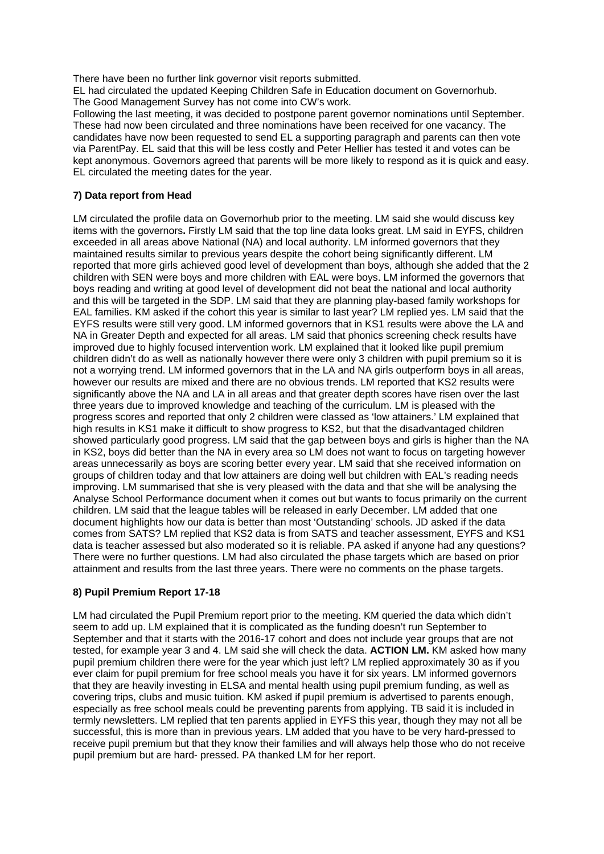There have been no further link governor visit reports submitted.

EL had circulated the updated Keeping Children Safe in Education document on Governorhub. The Good Management Survey has not come into CW's work.

Following the last meeting, it was decided to postpone parent governor nominations until September. These had now been circulated and three nominations have been received for one vacancy. The candidates have now been requested to send EL a supporting paragraph and parents can then vote via ParentPay. EL said that this will be less costly and Peter Hellier has tested it and votes can be kept anonymous. Governors agreed that parents will be more likely to respond as it is quick and easy. EL circulated the meeting dates for the year.

## **7) Data report from Head**

LM circulated the profile data on Governorhub prior to the meeting. LM said she would discuss key items with the governors**.** Firstly LM said that the top line data looks great. LM said in EYFS, children exceeded in all areas above National (NA) and local authority. LM informed governors that they maintained results similar to previous years despite the cohort being significantly different. LM reported that more girls achieved good level of development than boys, although she added that the 2 children with SEN were boys and more children with EAL were boys. LM informed the governors that boys reading and writing at good level of development did not beat the national and local authority and this will be targeted in the SDP. LM said that they are planning play-based family workshops for EAL families. KM asked if the cohort this year is similar to last year? LM replied yes. LM said that the EYFS results were still very good. LM informed governors that in KS1 results were above the LA and NA in Greater Depth and expected for all areas. LM said that phonics screening check results have improved due to highly focused intervention work. LM explained that it looked like pupil premium children didn't do as well as nationally however there were only 3 children with pupil premium so it is not a worrying trend. LM informed governors that in the LA and NA girls outperform boys in all areas, however our results are mixed and there are no obvious trends. LM reported that KS2 results were significantly above the NA and LA in all areas and that greater depth scores have risen over the last three years due to improved knowledge and teaching of the curriculum. LM is pleased with the progress scores and reported that only 2 children were classed as 'low attainers.' LM explained that high results in KS1 make it difficult to show progress to KS2, but that the disadvantaged children showed particularly good progress. LM said that the gap between boys and girls is higher than the NA in KS2, boys did better than the NA in every area so LM does not want to focus on targeting however areas unnecessarily as boys are scoring better every year. LM said that she received information on groups of children today and that low attainers are doing well but children with EAL's reading needs improving. LM summarised that she is very pleased with the data and that she will be analysing the Analyse School Performance document when it comes out but wants to focus primarily on the current children. LM said that the league tables will be released in early December. LM added that one document highlights how our data is better than most 'Outstanding' schools. JD asked if the data comes from SATS? LM replied that KS2 data is from SATS and teacher assessment, EYFS and KS1 data is teacher assessed but also moderated so it is reliable. PA asked if anyone had any questions? There were no further questions. LM had also circulated the phase targets which are based on prior attainment and results from the last three years. There were no comments on the phase targets.

## **8) Pupil Premium Report 17-18**

LM had circulated the Pupil Premium report prior to the meeting. KM queried the data which didn't seem to add up. LM explained that it is complicated as the funding doesn't run September to September and that it starts with the 2016-17 cohort and does not include year groups that are not tested, for example year 3 and 4. LM said she will check the data. **ACTION LM.** KM asked how many pupil premium children there were for the year which just left? LM replied approximately 30 as if you ever claim for pupil premium for free school meals you have it for six years. LM informed governors that they are heavily investing in ELSA and mental health using pupil premium funding, as well as covering trips, clubs and music tuition. KM asked if pupil premium is advertised to parents enough, especially as free school meals could be preventing parents from applying. TB said it is included in termly newsletters. LM replied that ten parents applied in EYFS this year, though they may not all be successful, this is more than in previous years. LM added that you have to be very hard-pressed to receive pupil premium but that they know their families and will always help those who do not receive pupil premium but are hard- pressed. PA thanked LM for her report.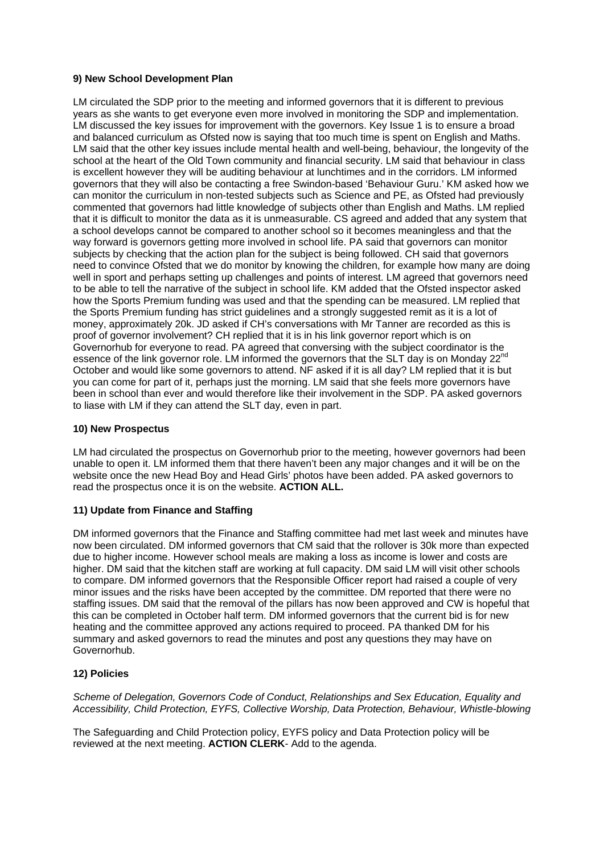## **9) New School Development Plan**

LM circulated the SDP prior to the meeting and informed governors that it is different to previous years as she wants to get everyone even more involved in monitoring the SDP and implementation. LM discussed the key issues for improvement with the governors. Key Issue 1 is to ensure a broad and balanced curriculum as Ofsted now is saying that too much time is spent on English and Maths. LM said that the other key issues include mental health and well-being, behaviour, the longevity of the school at the heart of the Old Town community and financial security. LM said that behaviour in class is excellent however they will be auditing behaviour at lunchtimes and in the corridors. LM informed governors that they will also be contacting a free Swindon-based 'Behaviour Guru.' KM asked how we can monitor the curriculum in non-tested subjects such as Science and PE, as Ofsted had previously commented that governors had little knowledge of subjects other than English and Maths. LM replied that it is difficult to monitor the data as it is unmeasurable. CS agreed and added that any system that a school develops cannot be compared to another school so it becomes meaningless and that the way forward is governors getting more involved in school life. PA said that governors can monitor subjects by checking that the action plan for the subject is being followed. CH said that governors need to convince Ofsted that we do monitor by knowing the children, for example how many are doing well in sport and perhaps setting up challenges and points of interest. LM agreed that governors need to be able to tell the narrative of the subject in school life. KM added that the Ofsted inspector asked how the Sports Premium funding was used and that the spending can be measured. LM replied that the Sports Premium funding has strict guidelines and a strongly suggested remit as it is a lot of money, approximately 20k. JD asked if CH's conversations with Mr Tanner are recorded as this is proof of governor involvement? CH replied that it is in his link governor report which is on Governorhub for everyone to read. PA agreed that conversing with the subject coordinator is the essence of the link governor role. LM informed the governors that the SLT dav is on Mondav 22<sup>nd</sup> October and would like some governors to attend. NF asked if it is all day? LM replied that it is but you can come for part of it, perhaps just the morning. LM said that she feels more governors have been in school than ever and would therefore like their involvement in the SDP. PA asked governors to liase with LM if they can attend the SLT day, even in part.

#### **10) New Prospectus**

LM had circulated the prospectus on Governorhub prior to the meeting, however governors had been unable to open it. LM informed them that there haven't been any major changes and it will be on the website once the new Head Boy and Head Girls' photos have been added. PA asked governors to read the prospectus once it is on the website. **ACTION ALL.** 

## **11) Update from Finance and Staffing**

DM informed governors that the Finance and Staffing committee had met last week and minutes have now been circulated. DM informed governors that CM said that the rollover is 30k more than expected due to higher income. However school meals are making a loss as income is lower and costs are higher. DM said that the kitchen staff are working at full capacity. DM said LM will visit other schools to compare. DM informed governors that the Responsible Officer report had raised a couple of very minor issues and the risks have been accepted by the committee. DM reported that there were no staffing issues. DM said that the removal of the pillars has now been approved and CW is hopeful that this can be completed in October half term. DM informed governors that the current bid is for new heating and the committee approved any actions required to proceed. PA thanked DM for his summary and asked governors to read the minutes and post any questions they may have on Governorhub.

## **12) Policies**

*Scheme of Delegation, Governors Code of Conduct, Relationships and Sex Education, Equality and Accessibility, Child Protection, EYFS, Collective Worship, Data Protection, Behaviour, Whistle-blowing* 

The Safeguarding and Child Protection policy, EYFS policy and Data Protection policy will be reviewed at the next meeting. **ACTION CLERK**- Add to the agenda.